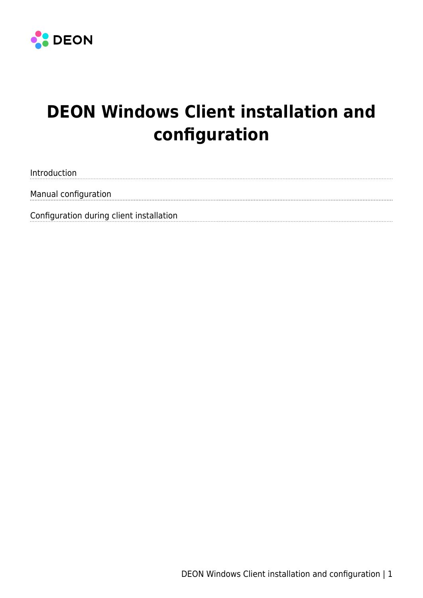

# **DEON Windows Client installation and configuration**

Introduction Manual configuration Configuration during client installation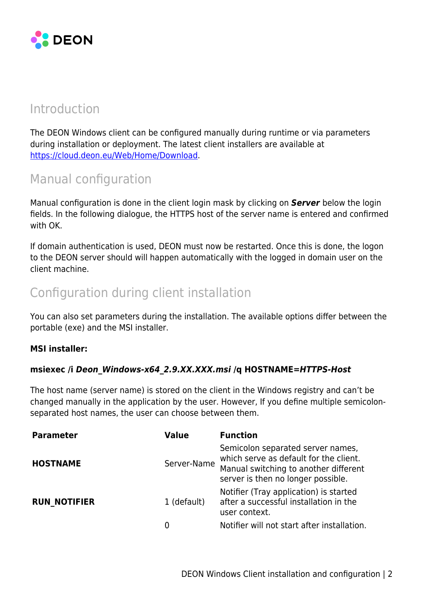

# Introduction

The DEON Windows client can be configured manually during runtime or via parameters during installation or deployment. The latest client installers are available at <https://cloud.deon.eu/Web/Home/Download>.

# Manual configuration

Manual configuration is done in the client login mask by clicking on *Server* below the login fields. In the following dialogue, the HTTPS host of the server name is entered and confirmed with OK.

If domain authentication is used, DEON must now be restarted. Once this is done, the logon to the DEON server should will happen automatically with the logged in domain user on the client machine.

# Configuration during client installation

You can also set parameters during the installation. The available options differ between the portable (exe) and the MSI installer.

#### **MSI installer:**

### **msiexec /i** *Deon\_Windows-x64\_2.9.XX.XXX.msi* **/q HOSTNAME=***HTTPS-Host*

The host name (server name) is stored on the client in the Windows registry and can't be changed manually in the application by the user. However, If you define multiple semicolonseparated host names, the user can choose between them.

| <b>Parameter</b>    | <b>Value</b>     | <b>Function</b>                                                                                                                                            |
|---------------------|------------------|------------------------------------------------------------------------------------------------------------------------------------------------------------|
| <b>HOSTNAME</b>     | Server-Name      | Semicolon separated server names,<br>which serve as default for the client.<br>Manual switching to another different<br>server is then no longer possible. |
| <b>RUN NOTIFIER</b> | 1 (default)<br>0 | Notifier (Tray application) is started<br>after a successful installation in the<br>user context.<br>Notifier will not start after installation.           |
|                     |                  |                                                                                                                                                            |